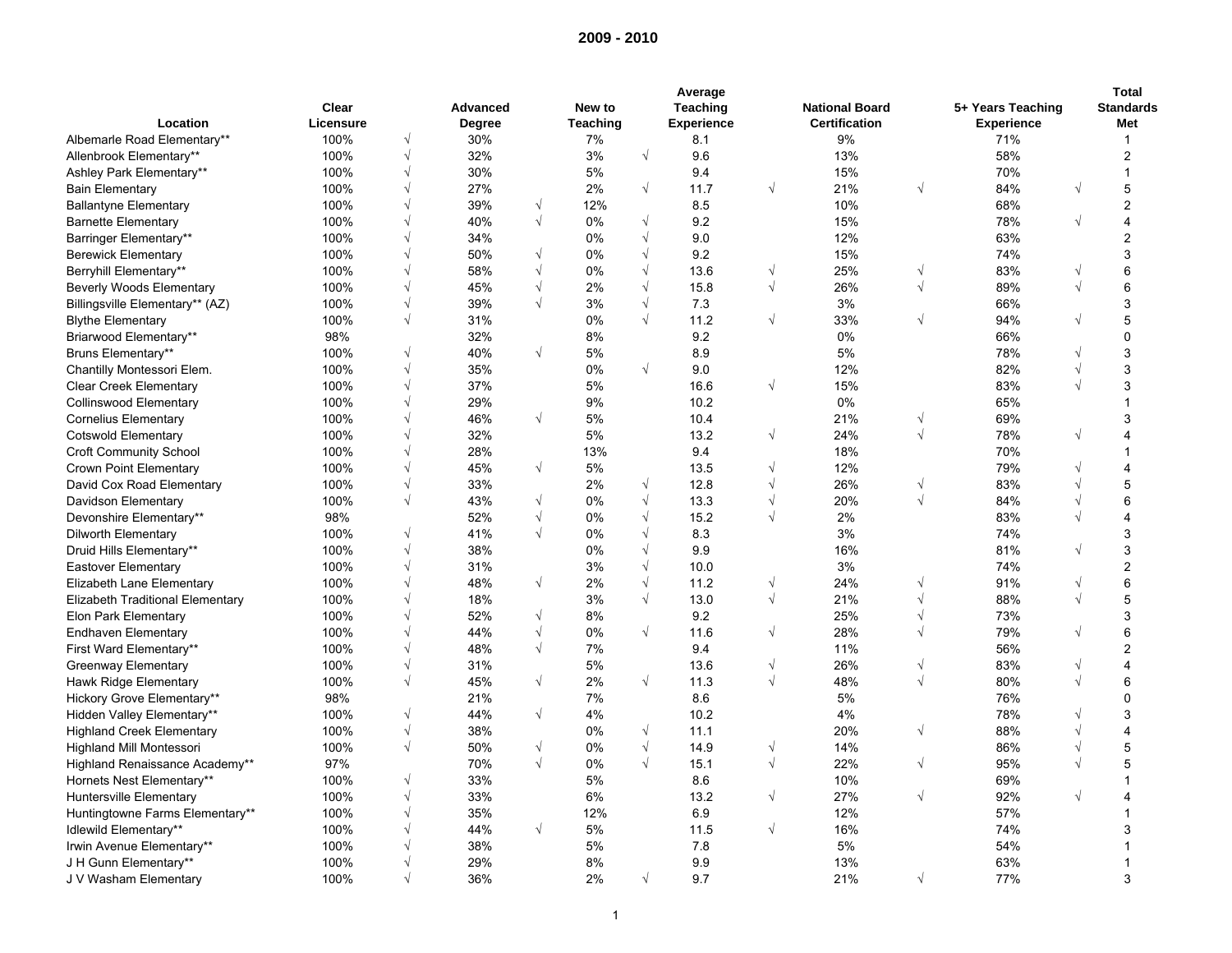|                                         |           |                |                 |            |                 |            | Average           |            |                       |            |                   |            | <b>Total</b>            |
|-----------------------------------------|-----------|----------------|-----------------|------------|-----------------|------------|-------------------|------------|-----------------------|------------|-------------------|------------|-------------------------|
|                                         | Clear     |                | <b>Advanced</b> |            | New to          |            | Teaching          |            | <b>National Board</b> |            | 5+ Years Teaching |            | <b>Standards</b>        |
| Location                                | Licensure |                | <b>Degree</b>   |            | <b>Teaching</b> |            | <b>Experience</b> |            | <b>Certification</b>  |            | <b>Experience</b> |            | Met                     |
| Albemarle Road Elementary**             | 100%      | $\sqrt{}$      | 30%             |            | 7%              |            | 8.1               |            | 9%                    |            | 71%               |            | $\mathbf{1}$            |
| Allenbrook Elementary**                 | 100%      | $\sqrt{}$      | 32%             |            | 3%              | $\sqrt{ }$ | 9.6               |            | 13%                   |            | 58%               |            | $\overline{\mathbf{c}}$ |
| Ashley Park Elementary**                | 100%      | √              | 30%             |            | 5%              |            | 9.4               |            | 15%                   |            | 70%               |            | 1                       |
| <b>Bain Elementary</b>                  | 100%      | $\sqrt{}$      | 27%             |            | 2%              | $\sqrt{ }$ | 11.7              | $\sqrt{}$  | 21%                   | $\sqrt{}$  | 84%               | $\sqrt{ }$ | 5                       |
| <b>Ballantyne Elementary</b>            | 100%      | $\sqrt{}$      | 39%             | $\sqrt{}$  | 12%             |            | 8.5               |            | 10%                   |            | 68%               |            | $\overline{\mathbf{c}}$ |
| <b>Barnette Elementary</b>              | 100%      | $\sqrt{}$      | 40%             | $\sqrt{}$  | 0%              | $\sqrt{ }$ | 9.2               |            | 15%                   |            | 78%               | $\sqrt{ }$ | $\overline{4}$          |
| Barringer Elementary**                  | 100%      |                | 34%             |            | 0%              | $\sqrt{ }$ | 9.0               |            | 12%                   |            | 63%               |            | $\overline{2}$          |
| <b>Berewick Elementary</b>              | 100%      |                | 50%             | $\sqrt{ }$ | 0%              | $\sqrt{ }$ | 9.2               |            | 15%                   |            | 74%               |            | 3                       |
| Berryhill Elementary**                  | 100%      |                | 58%             | $\sqrt{}$  | 0%              | $\sqrt{ }$ | 13.6              | V          | 25%                   | $\sqrt{}$  | 83%               |            | 6                       |
| <b>Beverly Woods Elementary</b>         | 100%      |                | 45%             | $\sqrt{ }$ | 2%              | $\sqrt{ }$ | 15.8              | $\sqrt{}$  | 26%                   | $\sqrt{ }$ | 89%               |            | 6                       |
| Billingsville Elementary** (AZ)         | 100%      | $\sqrt{}$      | 39%             | $\sqrt{ }$ | 3%              | $\sqrt{ }$ | 7.3               |            | 3%                    |            | 66%               |            | 3                       |
| <b>Blythe Elementary</b>                | 100%      | $\sqrt{ }$     | 31%             |            | 0%              | $\sqrt{ }$ | 11.2              | $\sqrt{ }$ | 33%                   | $\sqrt{}$  | 94%               | $\sqrt{ }$ | 5                       |
| Briarwood Elementary**                  | 98%       |                | 32%             |            | 8%              |            | 9.2               |            | 0%                    |            | 66%               |            | 0                       |
| Bruns Elementary**                      | 100%      | $\sqrt{}$      | 40%             | $\sqrt{ }$ | 5%              |            | 8.9               |            | 5%                    |            | 78%               |            | 3                       |
| Chantilly Montessori Elem.              | 100%      | $\sqrt{}$      | 35%             |            | 0%              | $\sqrt{ }$ | 9.0               |            | 12%                   |            | 82%               |            | 3                       |
| <b>Clear Creek Elementary</b>           | 100%      | $\sqrt{}$      | 37%             |            | 5%              |            | 16.6              | $\sqrt{}$  | 15%                   |            | 83%               |            | 3                       |
| Collinswood Elementary                  | 100%      | $\sqrt{}$      | 29%             |            | 9%              |            | 10.2              |            | 0%                    |            | 65%               |            | 1                       |
| <b>Cornelius Elementary</b>             | 100%      | $\sqrt{}$      | 46%             | $\sqrt{ }$ | 5%              |            | 10.4              |            | 21%                   | $\sqrt{}$  | 69%               |            | 3                       |
| <b>Cotswold Elementary</b>              | 100%      | $\sqrt{}$      | 32%             |            | 5%              |            | 13.2              | V          | 24%                   | $\sqrt{ }$ | 78%               | $\sqrt{ }$ | 4                       |
|                                         | 100%      | $\sqrt{}$      | 28%             |            | 13%             |            | 9.4               |            | 18%                   |            | 70%               |            |                         |
| <b>Croft Community School</b>           |           | $\sqrt{}$      |                 | $\sqrt{ }$ |                 |            |                   |            |                       |            | 79%               |            |                         |
| <b>Crown Point Elementary</b>           | 100%      |                | 45%             |            | 5%              |            | 13.5              | V          | 12%                   |            |                   |            | 4                       |
| David Cox Road Elementary               | 100%      | √<br>$\sqrt{}$ | 33%             |            | 2%              | $\sqrt{ }$ | 12.8              | V          | 26%                   | $\sqrt{}$  | 83%               |            | 5                       |
| Davidson Elementary                     | 100%      |                | 43%             | $\sqrt{ }$ | 0%              | $\sqrt{ }$ | 13.3              | V          | 20%                   | $\sqrt{ }$ | 84%               |            | 6                       |
| Devonshire Elementary**                 | 98%       |                | 52%             | $\sqrt{ }$ | 0%              | $\sqrt{ }$ | 15.2              | $\sqrt{}$  | 2%                    |            | 83%               |            | 4                       |
| Dilworth Elementary                     | 100%      | $\sqrt{}$      | 41%             | $\sqrt{ }$ | 0%              | $\sqrt{2}$ | 8.3               |            | 3%                    |            | 74%               |            | 3                       |
| Druid Hills Elementary**                | 100%      | $\sqrt{}$      | 38%             |            | 0%              | $\sqrt{ }$ | 9.9               |            | 16%                   |            | 81%               | $\sqrt{ }$ | 3                       |
| Eastover Elementary                     | 100%      | $\sqrt{}$      | 31%             |            | 3%              | $\sqrt{ }$ | 10.0              |            | 3%                    |            | 74%               |            | $\overline{\mathbf{c}}$ |
| Elizabeth Lane Elementary               | 100%      | $\sqrt{}$      | 48%             | $\sqrt{}$  | 2%              | $\sqrt{ }$ | 11.2              | V          | 24%                   | $\sqrt{ }$ | 91%               | $\sqrt{ }$ | 6                       |
| <b>Elizabeth Traditional Elementary</b> | 100%      | $\sqrt{}$      | 18%             |            | 3%              | $\sqrt{ }$ | 13.0              | $\sqrt{}$  | 21%                   | $\sqrt{ }$ | 88%               | $\sqrt{ }$ | 5                       |
| Elon Park Elementary                    | 100%      | $\sqrt{}$      | 52%             | $\sqrt{ }$ | 8%              |            | 9.2               |            | 25%                   | $\sqrt{ }$ | 73%               |            | 3                       |
| <b>Endhaven Elementary</b>              | 100%      | $\sqrt{}$      | 44%             | $\sqrt{ }$ | 0%              | $\sqrt{ }$ | 11.6              | $\sqrt{}$  | 28%                   | $\sqrt{ }$ | 79%               |            | 6                       |
| First Ward Elementary**                 | 100%      | $\sqrt{}$      | 48%             | $\sqrt{ }$ | 7%              |            | 9.4               |            | 11%                   |            | 56%               |            | $\overline{2}$          |
| Greenway Elementary                     | 100%      | $\sqrt{}$      | 31%             |            | 5%              |            | 13.6              | V          | 26%                   | $\sqrt{}$  | 83%               | $\sqrt{ }$ | 4                       |
| Hawk Ridge Elementary                   | 100%      | $\sqrt{}$      | 45%             | $\sqrt{ }$ | 2%              | $\sqrt{ }$ | 11.3              | $\sqrt{}$  | 48%                   | $\sqrt{ }$ | 80%               | $\sqrt{ }$ | 6                       |
| Hickory Grove Elementary**              | 98%       |                | 21%             |            | 7%              |            | 8.6               |            | 5%                    |            | 76%               |            | 0                       |
| Hidden Valley Elementary**              | 100%      | $\sqrt{ }$     | 44%             | $\sqrt{ }$ | 4%              |            | 10.2              |            | 4%                    |            | 78%               |            | 3                       |
| <b>Highland Creek Elementary</b>        | 100%      | $\sqrt{}$      | 38%             |            | 0%              | $\sqrt{ }$ | 11.1              |            | 20%                   | $\sqrt{ }$ | 88%               |            | 4                       |
| <b>Highland Mill Montessori</b>         | 100%      | $\sqrt{}$      | 50%             | $\sqrt{}$  | 0%              | $\sqrt{ }$ | 14.9              | V          | 14%                   |            | 86%               |            | 5                       |
| Highland Renaissance Academy**          | 97%       |                | 70%             | $\sqrt{ }$ | 0%              | $\sqrt{ }$ | 15.1              | $\sqrt{}$  | 22%                   | $\sqrt{ }$ | 95%               |            | 5                       |
| Hornets Nest Elementary**               | 100%      | $\sqrt{}$      | 33%             |            | 5%              |            | 8.6               |            | 10%                   |            | 69%               |            | 1                       |
| Huntersville Elementary                 | 100%      | $\sqrt{}$      | 33%             |            | 6%              |            | 13.2              | $\sqrt{}$  | 27%                   | $\sqrt{}$  | 92%               |            | 4                       |
| Huntingtowne Farms Elementary**         | 100%      | $\sqrt{}$      | 35%             |            | 12%             |            | 6.9               |            | 12%                   |            | 57%               |            | 1                       |
| Idlewild Elementary**                   | 100%      | V              | 44%             | $\sqrt{ }$ | 5%              |            | 11.5              | $\sqrt{}$  | 16%                   |            | 74%               |            | 3                       |
| Irwin Avenue Elementary**               | 100%      | V              | 38%             |            | 5%              |            | 7.8               |            | 5%                    |            | 54%               |            |                         |
| J H Gunn Elementary**                   | 100%      | $\sqrt{}$      | 29%             |            | 8%              |            | 9.9               |            | 13%                   |            | 63%               |            |                         |
| J V Washam Elementary                   | 100%      | $\sqrt{ }$     | 36%             |            | 2%              | $\sqrt{ }$ | 9.7               |            | 21%                   | $\sqrt{ }$ | 77%               |            | 3                       |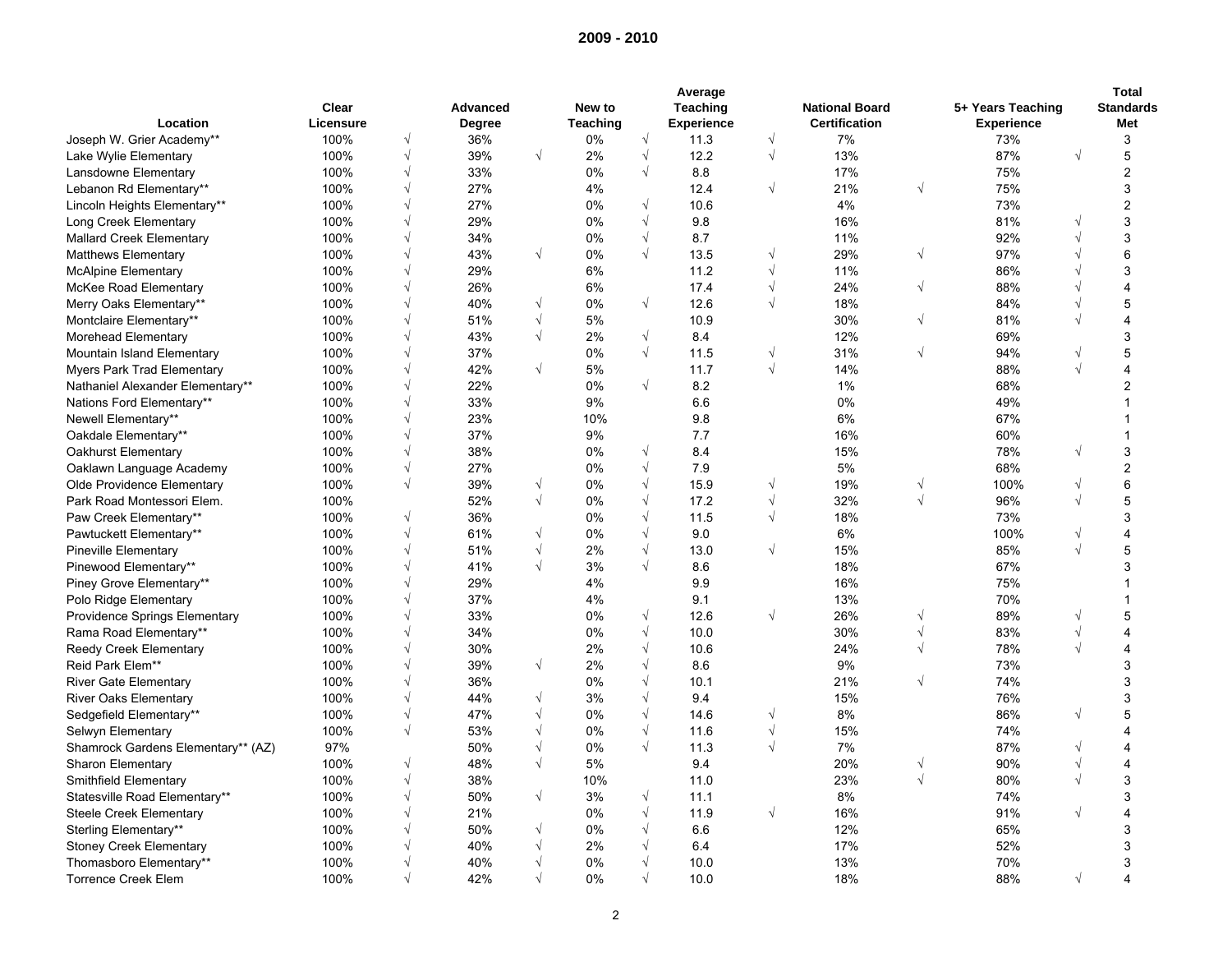|                                      |           |            | Average         |            |                 |                          |                   |           |                       |            |                   |            |                         |  |  |
|--------------------------------------|-----------|------------|-----------------|------------|-----------------|--------------------------|-------------------|-----------|-----------------------|------------|-------------------|------------|-------------------------|--|--|
|                                      | Clear     |            | <b>Advanced</b> |            | New to          |                          | Teaching          |           | <b>National Board</b> |            | 5+ Years Teaching |            | <b>Standards</b>        |  |  |
| Location                             | Licensure |            | Degree          |            | <b>Teaching</b> |                          | <b>Experience</b> |           | <b>Certification</b>  |            | <b>Experience</b> |            | Met                     |  |  |
| Joseph W. Grier Academy**            | 100%      | $\sqrt{}$  | 36%             |            | 0%              | $\sqrt{ }$               | 11.3              | $\sqrt{}$ | 7%                    |            | 73%               |            | 3                       |  |  |
| Lake Wylie Elementary                | 100%      | $\sqrt{}$  | 39%             | $\sqrt{ }$ | 2%              | $\sqrt{ }$               | 12.2              | $\sqrt{}$ | 13%                   |            | 87%               | $\sqrt{ }$ | 5                       |  |  |
| Lansdowne Elementary                 | 100%      | $\sqrt{}$  | 33%             |            | 0%              | $\sqrt{ }$               | 8.8               |           | 17%                   |            | 75%               |            | $\overline{\mathbf{c}}$ |  |  |
| Lebanon Rd Elementary**              | 100%      | $\sqrt{}$  | 27%             |            | 4%              |                          | 12.4              | $\sqrt{}$ | 21%                   | $\sqrt{}$  | 75%               |            | 3                       |  |  |
| Lincoln Heights Elementary**         | 100%      | $\sqrt{}$  | 27%             |            | 0%              | $\sqrt{ }$               | 10.6              |           | 4%                    |            | 73%               |            | $\overline{2}$          |  |  |
| Long Creek Elementary                | 100%      | $\sqrt{}$  | 29%             |            | 0%              | $\sqrt{ }$               | 9.8               |           | 16%                   |            | 81%               |            | 3                       |  |  |
| <b>Mallard Creek Elementary</b>      | 100%      | V          | 34%             |            | 0%              | $\sqrt{ }$               | 8.7               |           | 11%                   |            | 92%               |            | 3                       |  |  |
| <b>Matthews Elementary</b>           | 100%      |            | 43%             | $\sqrt{ }$ | 0%              | $\sqrt{ }$               | 13.5              | V         | 29%                   | $\sqrt{ }$ | 97%               |            | 6                       |  |  |
| <b>McAlpine Elementary</b>           | 100%      |            | 29%             |            | 6%              |                          | 11.2              | V         | 11%                   |            | 86%               |            | 3                       |  |  |
| McKee Road Elementary                | 100%      |            | 26%             |            | 6%              |                          | 17.4              | V         | 24%                   | $\sqrt{ }$ | 88%               |            | 4                       |  |  |
| Merry Oaks Elementary**              | 100%      | $\sqrt{}$  | 40%             | $\sqrt{ }$ | 0%              | $\sqrt{}$                | 12.6              | $\sqrt{}$ | 18%                   |            | 84%               |            | 5                       |  |  |
| Montclaire Elementary**              | 100%      |            | 51%             | $\sqrt{}$  | 5%              |                          | 10.9              |           | 30%                   | $\sqrt{ }$ | 81%               |            | 4                       |  |  |
| Morehead Elementary                  | 100%      | $\sqrt{}$  | 43%             | $\sqrt{ }$ | 2%              | $\sqrt{ }$               | 8.4               |           | 12%                   |            | 69%               |            | 3                       |  |  |
| Mountain Island Elementary           | 100%      | $\sqrt{}$  | 37%             |            | 0%              | $\sqrt{ }$               | 11.5              | V         | 31%                   | $\sqrt{}$  | 94%               |            | 5                       |  |  |
| <b>Myers Park Trad Elementary</b>    | 100%      | $\sqrt{}$  | 42%             | $\sqrt{}$  | 5%              |                          | 11.7              | $\sqrt{}$ | 14%                   |            | 88%               |            | 4                       |  |  |
| Nathaniel Alexander Elementary**     | 100%      | V          | 22%             |            | 0%              | $\sqrt{ }$               | 8.2               |           | $1\%$                 |            | 68%               |            | $\overline{2}$          |  |  |
| Nations Ford Elementary**            | 100%      | $\sqrt{}$  | 33%             |            | 9%              |                          | 6.6               |           | 0%                    |            | 49%               |            |                         |  |  |
| Newell Elementary**                  | 100%      | $\sqrt{}$  | 23%             |            | 10%             |                          | 9.8               |           | 6%                    |            | 67%               |            |                         |  |  |
| Oakdale Elementary**                 | 100%      |            | 37%             |            | 9%              |                          | 7.7               |           | 16%                   |            | 60%               |            | 1                       |  |  |
| Oakhurst Elementary                  | 100%      | $\sqrt{}$  | 38%             |            | 0%              | $\sqrt{ }$               | 8.4               |           | 15%                   |            | 78%               | $\sqrt{ }$ | 3                       |  |  |
| Oaklawn Language Academy             | 100%      | $\sqrt{}$  | 27%             |            | 0%              | $\sqrt{ }$               | 7.9               |           | 5%                    |            | 68%               |            | $\overline{2}$          |  |  |
| Olde Providence Elementary           | 100%      | $\sqrt{}$  | 39%             | $\sqrt{}$  | 0%              | $\sqrt{ }$               | 15.9              | V         | 19%                   | $\sqrt{ }$ | 100%              | $\sqrt{ }$ | 6                       |  |  |
| Park Road Montessori Elem.           | 100%      |            | 52%             | $\sqrt{ }$ | 0%              | $\sqrt{ }$               | 17.2              | V         | 32%                   | $\sqrt{ }$ | 96%               |            | 5                       |  |  |
| Paw Creek Elementary**               | 100%      | $\sqrt{}$  | 36%             |            | 0%              | $\sqrt{ }$               | 11.5              | $\sqrt{}$ | 18%                   |            | 73%               |            | 3                       |  |  |
|                                      | 100%      | $\sqrt{}$  | 61%             | $\sqrt{}$  | 0%              | $\sqrt{ }$               | 9.0               |           | 6%                    |            | 100%              |            | 4                       |  |  |
| Pawtuckett Elementary**              | 100%      | $\sqrt{}$  | 51%             | $\sqrt{ }$ |                 | $\sqrt{ }$               | 13.0              | $\sqrt{}$ | 15%                   |            | 85%               |            | 5                       |  |  |
| <b>Pineville Elementary</b>          | 100%      |            | 41%             | $\sqrt{ }$ | 2%              | $\sqrt{ }$               | 8.6               |           |                       |            | 67%               |            | 3                       |  |  |
| Pinewood Elementary**                | 100%      | $\sqrt{}$  | 29%             |            | 3%              |                          | 9.9               |           | 18%                   |            |                   |            |                         |  |  |
| Piney Grove Elementary**             |           |            |                 |            | 4%              |                          |                   |           | 16%                   |            | 75%               |            |                         |  |  |
| Polo Ridge Elementary                | 100%      |            | 37%             |            | 4%              |                          | 9.1               |           | 13%                   |            | 70%               |            | 1                       |  |  |
| <b>Providence Springs Elementary</b> | 100%      | $\sqrt{}$  | 33%             |            | 0%              | $\sqrt{ }$<br>$\sqrt{ }$ | 12.6              | $\sqrt{}$ | 26%                   | $\sqrt{ }$ | 89%               |            | 5                       |  |  |
| Rama Road Elementary**               | 100%      | V          | 34%             |            | 0%              |                          | 10.0              |           | 30%                   | $\sqrt{}$  | 83%               | $\sqrt{ }$ | 4                       |  |  |
| Reedy Creek Elementary               | 100%      | N          | 30%             |            | 2%              | $\sqrt{ }$               | 10.6              |           | 24%                   | $\sqrt{ }$ | 78%               |            | 4                       |  |  |
| Reid Park Elem**                     | 100%      | $\sqrt{}$  | 39%             | $\sqrt{ }$ | 2%              | $\sqrt{ }$               | 8.6               |           | 9%                    |            | 73%               |            | 3                       |  |  |
| <b>River Gate Elementary</b>         | 100%      | $\sqrt{}$  | 36%             |            | 0%              | $\sqrt{ }$               | 10.1              |           | 21%                   | $\sqrt{}$  | 74%               |            | 3                       |  |  |
| <b>River Oaks Elementary</b>         | 100%      | $\sqrt{}$  | 44%             | $\sqrt{ }$ | 3%              | $\sqrt{ }$               | 9.4               |           | 15%                   |            | 76%               |            | 3                       |  |  |
| Sedgefield Elementary**              | 100%      | $\sqrt{}$  | 47%             | $\sqrt{}$  | 0%              | $\sqrt{ }$               | 14.6              | V         | 8%                    |            | 86%               | $\sqrt{ }$ | 5                       |  |  |
| Selwyn Elementary                    | 100%      | $\sqrt{ }$ | 53%             | $\sqrt{}$  | 0%              | $\sqrt{ }$               | 11.6              | V         | 15%                   |            | 74%               |            | 4                       |  |  |
| Shamrock Gardens Elementary** (AZ)   | 97%       |            | 50%             | $\sqrt{}$  | 0%              | $\sqrt{ }$               | 11.3              | V         | 7%                    |            | 87%               |            | 4                       |  |  |
| <b>Sharon Elementary</b>             | 100%      | √          | 48%             | $\sqrt{}$  | 5%              |                          | 9.4               |           | 20%                   | $\sqrt{}$  | 90%               |            | 4                       |  |  |
| Smithfield Elementary                | 100%      | $\sqrt{}$  | 38%             |            | 10%             |                          | 11.0              |           | 23%                   | $\sqrt{ }$ | 80%               |            | 3                       |  |  |
| Statesville Road Elementary**        | 100%      | $\sqrt{}$  | 50%             | $\sqrt{ }$ | 3%              | $\sqrt{ }$               | 11.1              |           | 8%                    |            | 74%               |            | 3                       |  |  |
| <b>Steele Creek Elementary</b>       | 100%      |            | 21%             |            | 0%              | $\sqrt{ }$               | 11.9              | $\sqrt{}$ | 16%                   |            | 91%               |            | 4                       |  |  |
| Sterling Elementary**                | 100%      | V          | 50%             | $\sqrt{ }$ | 0%              | $\sqrt{ }$               | 6.6               |           | 12%                   |            | 65%               |            | 3                       |  |  |
| <b>Stoney Creek Elementary</b>       | 100%      | $\sqrt{}$  | 40%             | $\sqrt{}$  | 2%              | $\sqrt{ }$               | 6.4               |           | 17%                   |            | 52%               |            | 3                       |  |  |
| Thomasboro Elementary**              | 100%      | V          | 40%             | $\sqrt{}$  | 0%              | $\sqrt{ }$               | 10.0              |           | 13%                   |            | 70%               |            | 3                       |  |  |
| <b>Torrence Creek Elem</b>           | 100%      | $\sqrt{ }$ | 42%             | $\sqrt{ }$ | 0%              | $\sqrt{ }$               | 10.0              |           | 18%                   |            | 88%               | $\sqrt{ }$ | 4                       |  |  |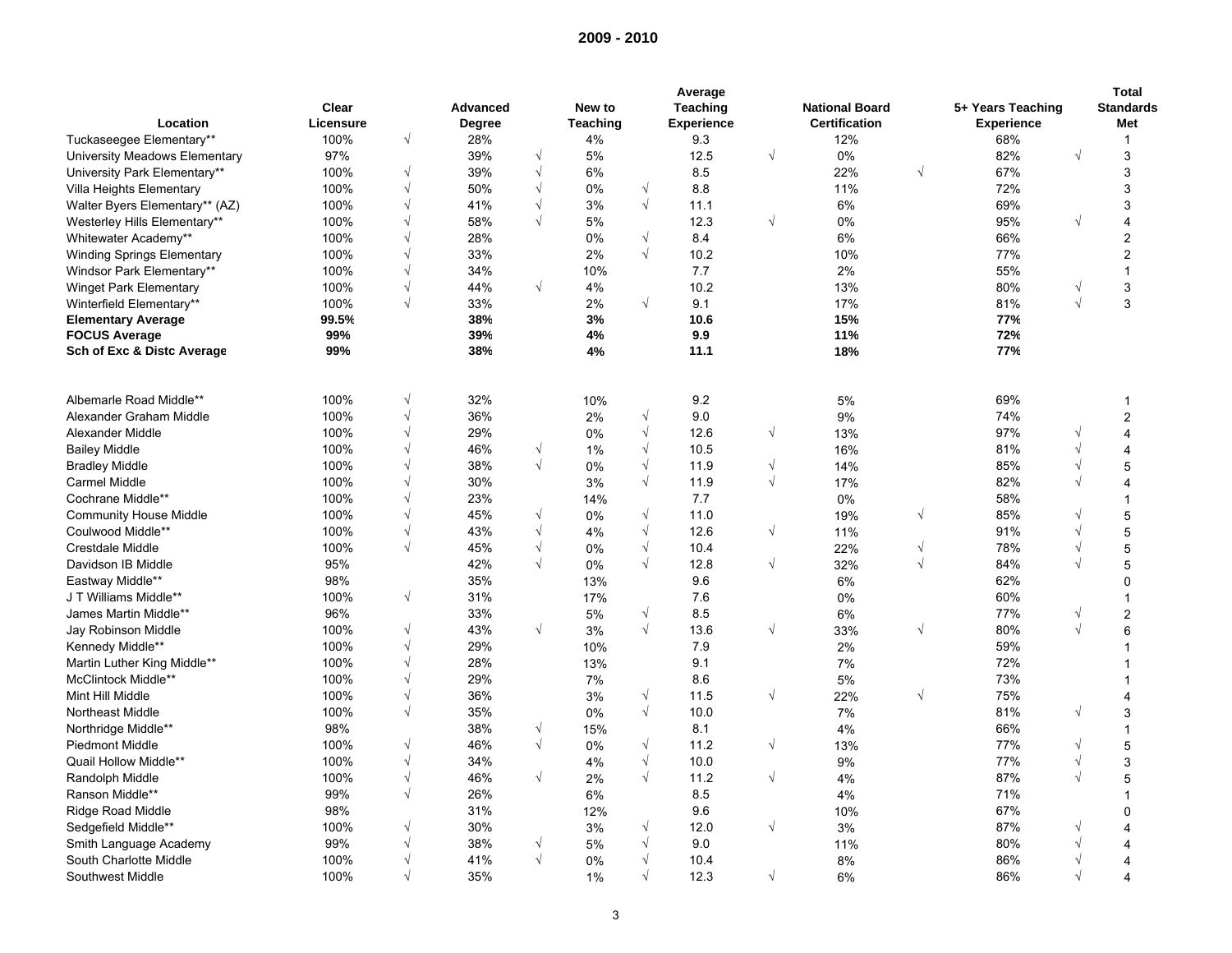|                                   |           |            |               |            |                 |            | Average           |            |                       |            |                   |            | <b>Total</b>     |
|-----------------------------------|-----------|------------|---------------|------------|-----------------|------------|-------------------|------------|-----------------------|------------|-------------------|------------|------------------|
|                                   | Clear     |            | Advanced      |            | New to          |            | Teaching          |            | <b>National Board</b> |            | 5+ Years Teaching |            | <b>Standards</b> |
| Location                          | Licensure |            | <b>Degree</b> |            | <b>Teaching</b> |            | <b>Experience</b> |            | <b>Certification</b>  |            | <b>Experience</b> |            | Met              |
| Tuckaseegee Elementary**          | 100%      | $\sqrt{}$  | 28%           |            | 4%              |            | 9.3               |            | 12%                   |            | 68%               |            | $\mathbf{1}$     |
| University Meadows Elementary     | 97%       |            | 39%           | $\sqrt{ }$ | 5%              |            | 12.5              | $\sqrt{}$  | 0%                    |            | 82%               | $\sqrt{ }$ | 3                |
| University Park Elementary**      | 100%      | $\sqrt{}$  | 39%           | $\sqrt{ }$ | 6%              |            | 8.5               |            | 22%                   | $\sqrt{ }$ | 67%               |            | 3                |
| Villa Heights Elementary          | 100%      | √          | 50%           | $\sqrt{ }$ | 0%              | $\sqrt{ }$ | 8.8               |            | 11%                   |            | 72%               |            | 3                |
| Walter Byers Elementary** (AZ)    | 100%      | $\sqrt{}$  | 41%           | $\sqrt{}$  | 3%              | $\sqrt{ }$ | 11.1              |            | 6%                    |            | 69%               |            | 3                |
| Westerley Hills Elementary**      | 100%      | $\sqrt{}$  | 58%           | $\sqrt{}$  | 5%              |            | 12.3              | $\sqrt{}$  | 0%                    |            | 95%               | $\sqrt{ }$ | 4                |
| Whitewater Academy**              | 100%      | √          | 28%           |            | 0%              | $\sqrt{ }$ | 8.4               |            | 6%                    |            | 66%               |            | $\overline{2}$   |
| <b>Winding Springs Elementary</b> | 100%      | $\sqrt{}$  | 33%           |            | 2%              | $\sqrt{ }$ | 10.2              |            | 10%                   |            | 77%               |            | $\mathbf 2$      |
| Windsor Park Elementary**         | 100%      | $\sqrt{}$  | 34%           |            | 10%             |            | 7.7               |            | 2%                    |            | 55%               |            | 1                |
| Winget Park Elementary            | 100%      | $\sqrt{}$  | 44%           | $\sqrt{ }$ | 4%              |            | 10.2              |            | 13%                   |            | 80%               |            | 3                |
| Winterfield Elementary**          | 100%      | $\sqrt{ }$ | 33%           |            | 2%              | $\sqrt{ }$ | 9.1               |            | 17%                   |            | 81%               | $\sqrt{ }$ | 3                |
| <b>Elementary Average</b>         | 99.5%     |            | 38%           |            | 3%              |            | 10.6              |            | 15%                   |            | 77%               |            |                  |
| <b>FOCUS Average</b>              | 99%       |            | 39%           |            | 4%              |            | 9.9               |            | 11%                   |            | 72%               |            |                  |
| Sch of Exc & Distc Average        | 99%       |            | 38%           |            | 4%              |            | 11.1              |            | 18%                   |            | 77%               |            |                  |
|                                   |           |            |               |            |                 |            |                   |            |                       |            |                   |            |                  |
| Albemarle Road Middle**           | 100%      | $\sqrt{}$  | 32%           |            | 10%             |            | 9.2               |            | 5%                    |            | 69%               |            | 1                |
| Alexander Graham Middle           | 100%      | $\sqrt{}$  | 36%           |            | 2%              | $\sqrt{ }$ | 9.0               |            | 9%                    |            | 74%               |            | $\mathbf 2$      |
| Alexander Middle                  | 100%      | $\sqrt{}$  | 29%           |            | 0%              | $\sqrt{ }$ | 12.6              | $\sqrt{ }$ | 13%                   |            | 97%               |            | $\overline{4}$   |
| <b>Bailey Middle</b>              | 100%      | $\sqrt{}$  | 46%           | $\sqrt{ }$ | 1%              | $\sqrt{}$  | 10.5              |            | 16%                   |            | 81%               | $\sqrt{ }$ | 4                |
| <b>Bradley Middle</b>             | 100%      | $\sqrt{}$  | 38%           | $\sqrt{ }$ | 0%              | $\sqrt{ }$ | 11.9              | $\sqrt{}$  | 14%                   |            | 85%               |            | 5                |
| Carmel Middle                     | 100%      | $\sqrt{}$  | 30%           |            | 3%              | $\sqrt{ }$ | 11.9              | $\sqrt{}$  | 17%                   |            | 82%               |            | 4                |
| Cochrane Middle**                 | 100%      | $\sqrt{}$  | 23%           |            | 14%             |            | 7.7               |            | 0%                    |            | 58%               |            | 1                |
| <b>Community House Middle</b>     | 100%      | $\sqrt{}$  | 45%           | $\sqrt{}$  | 0%              | $\sqrt{ }$ | 11.0              |            | 19%                   | $\sqrt{ }$ | 85%               | $\sqrt{ }$ | 5                |
| Coulwood Middle**                 | 100%      | $\sqrt{}$  | 43%           | $\sqrt{}$  | 4%              | $\sqrt{ }$ | 12.6              | $\sqrt{}$  | 11%                   |            | 91%               | $\sqrt{ }$ | 5                |
| <b>Crestdale Middle</b>           | 100%      | $\sqrt{ }$ | 45%           | $\sqrt{}$  | $0\%$           | $\sqrt{ }$ | 10.4              |            | 22%                   | $\sqrt{}$  | 78%               | $\sqrt{ }$ | 5                |
| Davidson IB Middle                | 95%       |            | 42%           | $\sqrt{ }$ | 0%              | $\sqrt{ }$ | 12.8              | $\sqrt{}$  | 32%                   | $\sqrt{ }$ | 84%               |            | 5                |
| Eastway Middle**                  | 98%       |            | 35%           |            | 13%             |            | 9.6               |            | 6%                    |            | 62%               |            | $\Omega$         |
| J T Williams Middle**             | 100%      | $\sqrt{}$  | 31%           |            | 17%             |            | 7.6               |            | 0%                    |            | 60%               |            | 1                |
| James Martin Middle**             | 96%       |            | 33%           |            | 5%              | $\sqrt{ }$ | 8.5               |            | 6%                    |            | 77%               | $\sqrt{ }$ | $\mathbf 2$      |
| Jay Robinson Middle               | 100%      | $\sqrt{}$  | 43%           | $\sqrt{ }$ | 3%              | $\sqrt{ }$ | 13.6              | $\sqrt{}$  | 33%                   | $\sqrt{}$  | 80%               |            | 6                |
| Kennedy Middle**                  | 100%      | $\sqrt{ }$ | 29%           |            | 10%             |            | 7.9               |            | 2%                    |            | 59%               |            | 1                |
| Martin Luther King Middle**       | 100%      | $\sqrt{}$  | 28%           |            | 13%             |            | 9.1               |            | 7%                    |            | 72%               |            | 1                |
| McClintock Middle**               | 100%      | $\sqrt{}$  | 29%           |            | 7%              |            | 8.6               |            | 5%                    |            | 73%               |            | 1                |
| Mint Hill Middle                  | 100%      | $\sqrt{}$  | 36%           |            | 3%              | $\sqrt{ }$ | 11.5              | $\sqrt{}$  | 22%                   | $\sqrt{}$  | 75%               |            | 4                |
| Northeast Middle                  | 100%      | $\sqrt{}$  | 35%           |            | 0%              | $\sqrt{ }$ | 10.0              |            | 7%                    |            | 81%               | $\sqrt{ }$ | 3                |
| Northridge Middle**               | 98%       |            | 38%           | $\sqrt{}$  | 15%             |            | 8.1               |            | 4%                    |            | 66%               |            | 1                |
| <b>Piedmont Middle</b>            | 100%      | $\sqrt{}$  | 46%           | $\sqrt{ }$ | 0%              | $\sqrt{ }$ | 11.2              | $\sqrt{}$  | 13%                   |            | 77%               | $\sqrt{ }$ | 5                |
| Quail Hollow Middle**             | 100%      | $\sqrt{}$  | 34%           |            | 4%              | $\sqrt{ }$ | 10.0              |            | 9%                    |            | 77%               | $\sqrt{ }$ | 3                |
| Randolph Middle                   | 100%      | √          | 46%           | $\sqrt{ }$ | 2%              | $\sqrt{ }$ | 11.2              | $\sqrt{}$  | 4%                    |            | 87%               |            | 5                |
| Ranson Middle**                   | 99%       | $\sqrt{ }$ | 26%           |            | 6%              |            | 8.5               |            | 4%                    |            | 71%               |            |                  |
| Ridge Road Middle                 | 98%       |            | 31%           |            | 12%             |            | 9.6               |            | 10%                   |            | 67%               |            | 0                |
| Sedgefield Middle**               | 100%      | $\sqrt{}$  | 30%           |            | 3%              | $\sqrt{ }$ | 12.0              | $\sqrt{}$  | 3%                    |            | 87%               |            | 4                |
| Smith Language Academy            | 99%       | $\sqrt{}$  | 38%           | $\sqrt{}$  | 5%              | $\sqrt{ }$ | 9.0               |            | 11%                   |            | 80%               |            | 4                |
| South Charlotte Middle            | 100%      | $\sqrt{}$  | 41%           | $\sqrt{}$  | 0%              | $\sqrt{ }$ | 10.4              |            | 8%                    |            | 86%               |            | 4                |
| Southwest Middle                  | 100%      | $\sqrt{ }$ | 35%           |            | 1%              | $\sqrt{ }$ | 12.3              | $\sqrt{ }$ | 6%                    |            | 86%               | $\sqrt{ }$ | 4                |
|                                   |           |            |               |            |                 |            |                   |            |                       |            |                   |            |                  |